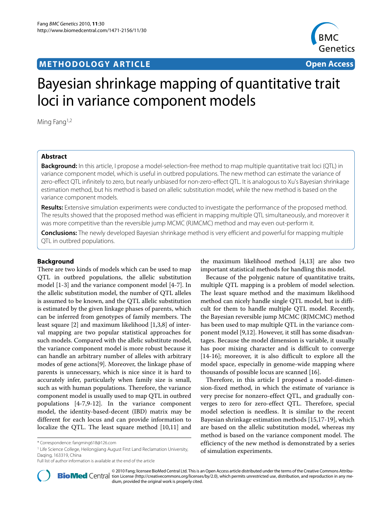# **METHODOLOGY ARTICLE Open Access**



# Bayesian shrinkage mapping of quantitative trait loci in variance component models

Ming Fang1,2

# **Abstract**

**Background:** In this article, I propose a model-selection-free method to map multiple quantitative trait loci (QTL) in variance component model, which is useful in outbred populations. The new method can estimate the variance of zero-effect QTL infinitely to zero, but nearly unbiased for non-zero-effect QTL. It is analogous to Xu's Bayesian shrinkage estimation method, but his method is based on allelic substitution model, while the new method is based on the variance component models.

**Results:** Extensive simulation experiments were conducted to investigate the performance of the proposed method. The results showed that the proposed method was efficient in mapping multiple QTL simultaneously, and moreover it was more competitive than the reversible jump MCMC (RJMCMC) method and may even out-perform it.

**Conclusions:** The newly developed Bayesian shrinkage method is very efficient and powerful for mapping multiple QTL in outbred populations.

# **Background**

There are two kinds of models which can be used to map QTL in outbred populations, the allelic substitution model [\[1](#page-8-0)-[3\]](#page-8-1) and the variance component model [\[4-](#page-8-2)[7\]](#page-8-3). In the allelic substitution model, the number of QTL alleles is assumed to be known, and the QTL allelic substitution is estimated by the given linkage phases of parents, which can be inferred from genotypes of family members. The least square [\[2](#page-8-4)] and maximum likelihood [[1,](#page-8-0)[3,](#page-8-1)[8\]](#page-8-5) of interval mapping are two popular statistical approaches for such models. Compared with the allelic substitute model, the variance component model is more robust because it can handle an arbitrary number of alleles with arbitrary modes of gene actions[\[9](#page-8-6)]. Moreover, the linkage phase of parents is unnecessary, which is nice since it is hard to accurately infer, particularly when family size is small, such as with human populations. Therefore, the variance component model is usually used to map QTL in outbred populations [\[4](#page-8-2)-[7,](#page-8-3)[9](#page-8-6)[-12](#page-8-7)]. In the variance component model, the identity-based-decent (IBD) matrix may be different for each locus and can provide information to localize the QTL. The least square method [\[10](#page-8-8),[11](#page-8-9)] and

<sup>1</sup> Life Science College, Heilongjiang August First Land Reclamation University, Daqing, 163319, China

the maximum likelihood method [[4,](#page-8-2)[13\]](#page-8-10) are also two important statistical methods for handling this model.

Because of the polygenic nature of quantitative traits, multiple QTL mapping is a problem of model selection. The least square method and the maximum likelihood method can nicely handle single QTL model, but is difficult for them to handle multiple QTL model. Recently, the Bayesian reversible jump MCMC (RJMCMC) method has been used to map multiple QTL in the variance component model [[9](#page-8-6),[12](#page-8-7)]. However, it still has some disadvantages. Because the model dimension is variable, it usually has poor mixing character and is difficult to converge [[14](#page-8-11)[-16](#page-8-12)]; moreover, it is also difficult to explore all the model space, especially in genome-wide mapping where thousands of possible locus are scanned [\[16](#page-8-12)].

Therefore, in this article I proposed a model-dimension-fixed method, in which the estimate of variance is very precise for nonzero-effect QTL, and gradually converges to zero for zero-effect QTL. Therefore, special model selection is needless. It is similar to the recent Bayesian shrinkage estimation methods [\[15,](#page-8-13)[17](#page-8-14)[-19](#page-8-15)], which are based on the allelic substitution model, whereas my method is based on the variance component model. The efficiency of the new method is demonstrated by a series of simulation experiments.



© 2010 Fang; licensee [BioMed](http://www.biomedcentral.com/) Central Ltd. This is an Open Access article distributed under the terms of the Creative Commons Attribu-<br>Pio Med Central tion License (http://creativecommons.org/licenses/by/2.0), which permits dium, provided the original work is properly cited.

<sup>\*</sup> Correspondence: fangming618@126.com

Full list of author information is available at the end of the article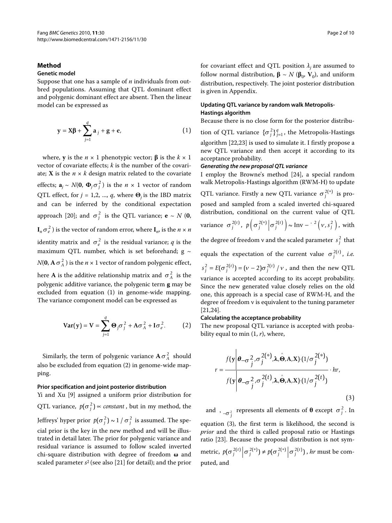# **Method**

# **Genetic model**

Suppose that one has a sample of *n* individuals from outbred populations. Assuming that QTL dominant effect and polygenic dominant effect are absent. Then the linear model can be expressed as

$$
y = X\beta + \sum_{j=1}^{q} a_j + g + e,
$$
 (1)

where, **y** is the  $n \times 1$  phenotypic vector; **β** is the  $k \times 1$ vector of covariate effects; *k* is the number of the covariate; **X** is the  $n \times k$  design matrix related to the covariate effects;  $\mathbf{a}_j \sim N(\mathbf{0}, \mathbf{\Phi}_j \sigma_j^2)$  is the  $n \times 1$  vector of random QTL effect, for *j* = 1,2, ..., *q*, where **Θ***j* is the IBD matrix and can be inferred by the conditional expectation approach [[20\]](#page-8-16); and  $\sigma_j^2$  is the QTL variance; **e** ~ *N* (**0**,  $\mathbf{I}_n \sigma_e^2$  ) is the vector of random error, where  $\mathbf{I}_n$ , is the  $n \times n$ identity matrix and  $\sigma_e^2$  is the residual variance; *q* is the maximum QTL number, which is set beforehand;  $g \sim$ *N*(0, **A**  $\sigma_A^2$  ) is the *n* × 1 vector of random polygenic effect, here **A** is the additive relationship matrix and  $\sigma_A^2$  is the

polygenic additive variance, the polygenic term **g** may be excluded from equation (1) in genome-wide mapping. The variance component model can be expressed as

$$
\text{Var}(\mathbf{y}) = \mathbf{V} = \sum_{j=1}^{q} \mathbf{\Theta}_j \sigma_j^2 + A \sigma_A^2 + I \sigma_e^2.
$$
 (2)

Similarly, the term of polygenic variance  $\mathbf{A} \, \sigma_A^2\,$  should also be excluded from equation (2) in genome-wide mapping.

#### **Prior specification and joint posterior distribution**

Yi and Xu [\[9](#page-8-6)] assigned a uniform prior distribution for QTL variance,  $p(\sigma_j^2) \propto constant$  , but in my method, the Jeffreys' hyper prior  $p(\sigma_j^2) \sim 1 \, / \, \sigma_j^2$  is assumed. The special prior is the key in the new method and will be illustrated in detail later. The prior for polygenic variance and residual variance is assumed to follow scaled inverted chi-square distribution with degree of freedom **ω** and scaled parameter *s*2 (see also [\[21](#page-8-17)] for detail); and the prior for covariant effect and QTL position  $\lambda_i$  are assumed to follow normal distribution,  $\beta \sim N (\beta_0, V_0)$ , and uniform distribution, respectively. The joint posterior distribution is given in Appendix.

# **Updating QTL variance by random walk Metropolis-Hastings algorithm**

Because there is no close form for the posterior distribu-

tion of QTL variance  $\{\sigma_j^2\}_{j=1}^q$ , the Metropolis-Hastings algorithm [[22](#page-8-18),[23](#page-8-19)] is used to simulate it. I firstly propose a new QTL variance and then accept it according to its acceptance probability.

#### **Generating the new proposal QTL variance**

I employ the Browne's method [\[24](#page-8-20)], a special random walk Metropolis-Hastings algorithm (RWM-H) to update

QTL variance. Firstly a new QTL variance  $\sigma_j^{2(*)}$  is proposed and sampled from a scaled inverted chi-squared distribution, conditional on the current value of QTL

variance 
$$
\sigma_j^{2(t)}
$$
,  $p\left(\sigma_j^{2(*)}\middle|\sigma_j^{2(t)}\right) \sim \text{Inv} - \frac{2}{t} \left(v, s_j^2\right)$ , with

the degree of freedom **v** and the scaled parameter  $s_j^2$  that

equals the expectation of the current value  $\sigma_j^{2(t)}$ , *i.e.* 

 $s_j^2 = E(\sigma_j^{2(t)}) = (v-2)\sigma_j^{2(t)} / v$ , and then the new QTL variance is accepted according to its accept probability. Since the new generated value closely relies on the old one, this approach is a special case of RWM-H, and the degree of freedom ν is equivalent to the tuning parameter [[21,](#page-8-17)[24\]](#page-8-20).

#### **Calculating the acceptance probability**

The new proposal QTL variance is accepted with probability equal to min (1, *r*), where,

$$
r = \frac{f(\mathbf{y}|\boldsymbol{\theta}_{-\sigma_j^2}, \sigma_j^{2(*)}, \lambda, \hat{\boldsymbol{\Theta}}, \mathbf{A}, \mathbf{X}) \cdot (1/\sigma_j^{2(*)})}{f(\mathbf{y}|\boldsymbol{\theta}_{-\sigma_j^2}, \sigma_j^{2}(t), \lambda, \hat{\boldsymbol{\Theta}}, \mathbf{A}, \mathbf{X}) \cdot (1/\sigma_j^{2}(t))} \cdot hr,
$$
\n(3)

and ,  $\frac{1}{2}$  represents all elements of  $\theta$  except  $\sigma_j^2$ . In equation (3), the first term is likelihood, the second is *prior* and the third is called proposal ratio or Hastings ratio [\[23](#page-8-19)]. Because the proposal distribution is not sym-

metric,  $p(\sigma_j^{2(t)} | \sigma_j^{2(*)}) \neq p(\sigma_j^{2(*)} | \sigma_j^{2(t)})$ , *hr* must be computed, and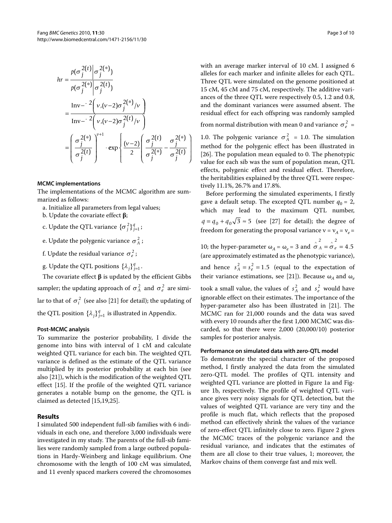$$
hr = \frac{p(\sigma_j^{2(t)} | \sigma_j^{2(*)})}{p(\sigma_j^{2(*)} | \sigma_j^{2(t)})}
$$
  
= 
$$
\frac{\text{Inv} - 2\left(v, (v-2)\sigma_j^{2(*)}/v\right)}{\text{Inv} - 2\left(v, (v-2)\sigma_j^{2(t)}/v\right)}
$$
  
= 
$$
\left(\frac{\sigma_j^{2(*)}}{\sigma_j^{2(t)}}\right)^{v+1} \cdot \exp\left\{\frac{(v-2)\left(\frac{\sigma_j^{2(t)}}{\sigma_j^{2(*)}} - \frac{\sigma_j^{2(*)}}{\sigma_j^{2(t)}}\right)\right\}
$$

# **MCMC implementations**

The implementations of the MCMC algorithm are summarized as follows:

- a. Initialize all parameters from legal values;
- b. Update the covariate effect **β**;
- c. Update the QTL variance  $\{\sigma_j^2\}_{j=1}^q$ ;
- e. Update the polygenic variance  $\sigma_A^2$  ;
- f. Update the residual variance  $\sigma_e^2$ ;
- g. Update the QTL positions  $\{\lambda_j\}_{j=1}^q$ .

The covariate effect **β** is updated by the efficient Gibbs sampler; the updating approach of  $\sigma_A^2$  and  $\sigma_e^2$  are similar to that of  $\sigma_i^2$  (see also [[21\]](#page-8-17) for detail); the updating of the QTL position  $\{\lambda_j\}_{j=1}^q$  is illustrated in Appendix.

# **Post-MCMC analysis**

To summarize the posterior probability, I divide the genome into bins with interval of 1 cM and calculate weighted QTL variance for each bin. The weighted QTL variance is defined as the estimate of the QTL variance multiplied by its posterior probability at each bin (see also [\[21](#page-8-17)]), which is the modification of the weighted QTL effect [\[15](#page-8-13)]. If the profile of the weighted QTL variance generates a notable bump on the genome, the QTL is claimed as detected [\[15](#page-8-13)[,19](#page-8-15),[25](#page-8-21)].

# **Results**

I simulated 500 independent full-sib families with 6 individuals in each one, and therefore 3,000 individuals were investigated in my study. The parents of the full-sib families were randomly sampled from a large outbred populations in Hardy-Weinberg and linkage equilibrium. One chromosome with the length of 100 cM was simulated, and 11 evenly spaced markers covered the chromosomes

with an average marker interval of 10 cM. I assigned 6 alleles for each marker and infinite alleles for each QTL. Three QTL were simulated on the genome positioned at 15 cM, 45 cM and 75 cM, respectively. The additive variances of the three QTL were respectively 0.5, 1.2 and 0.8, and the dominant variances were assumed absent. The residual effect for each offspring was randomly sampled

from normal distribution with mean 0 and variance  $\sigma_e^2$  =

1.0. The polygenic variance  $\sigma_A^2 = 1.0$ . The simulation method for the polygenic effect has been illustrated in [[26\]](#page-9-0). The population mean equaled to 0. The phenotypic value for each sib was the sum of population mean, QTL effects, polygenic effect and residual effect. Therefore, the heritabilities explained by the three QTL were respectively 11.1%, 26.7% and 17.8%.

Before performing the simulated experiments, I firstly gave a default setup. The excepted QTL number  $q_0 = 2$ , which may lead to the maximum QTL number,  $q = q_0 + q_0 \sqrt{3} \approx 5$  (see [[27\]](#page-9-1) for detail); the degree of freedom for generating the proposal variance  $v = v_A = v_e =$ 

10; the hyper-parameter  $\omega_A = \omega_e = 3$  and  $\hat{\sigma}_A = \hat{\sigma}_e = \frac{\hat{\sigma}_A}{\hat{\sigma}_B}$ (are approximately estimated as the phenotypic variance), and hence  $s_A^2 = s_e^2 = 1.5$  (equal to the expectation of their variance estimations, see [\[21](#page-8-17)]). Because  $\omega_A$  and  $\omega_e$ took a small value, the values of  $s_A^2$  and  $s_e^2$  would have ignorable effect on their estimates. The importance of the hyper-parameter also has been illustrated in [[21](#page-8-17)]. The MCMC ran for 21,000 rounds and the data was saved with every 10 rounds after the first 1,000 MCMC was discarded, so that there were 2,000 (20,000/10) posterior samples for posterior analysis. 2  $\lambda$ 4.5

#### **Performance on simulated data with zero-QTL model**

To demonstrate the special character of the proposed method, I firstly analyzed the data from the simulated zero-QTL model. The profiles of QTL intensity and weighted QTL variance are plotted in Figure [1](#page-3-0)a and Figure [1b](#page-3-0), respectively. The profile of weighted QTL variance gives very noisy signals for QTL detection, but the values of weighted QTL variance are very tiny and the profile is much flat, which reflects that the proposed method can effectively shrink the values of the variance of zero-effect QTL infinitely close to zero. Figure [2](#page-3-1) gives the MCMC traces of the polygenic variance and the residual variance, and indicates that the estimates of them are all close to their true values, 1; moreover, the Markov chains of them converge fast and mix well.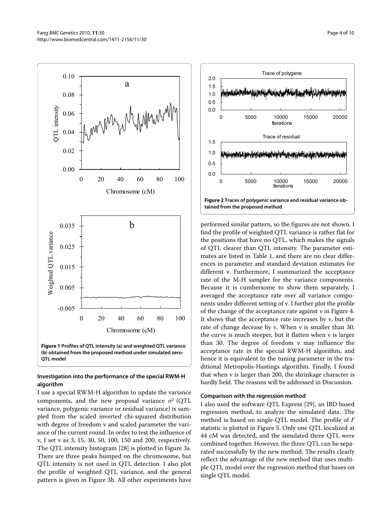0.00

-0.005

0.005

0.015

Weighted QTL variance

Weighted QTL variance

0.025

0.035

0.02

0.04

QTL intensity

**TL** intensity

0.06

0.08

<span id="page-3-0"></span>0.10

a

Manhall

0 20 40 60 80 100 Chromosome (cM)

b

0 20 40 60 80 100 Chromosome (cM)

**Figure 1 Profiles of QTL intensity (a) and weighted QTL variance (b) obtained from the proposed method under simulated zero-QTL model**.

# **Investigation into the performance of the special RWM-H algorithm**

I use a special RWM-H algorithm to update the variance components, and the new proposal variance  $\sigma^2$  (QTL variance, polygenic variance or residual variance) is sampled from the scaled inverted chi-squared distribution with degree of freedom ν and scaled parameter the variance of the current round. In order to test the influence of ν, I set ν as 3, 15, 30, 50, 100, 150 and 200, respectively. The QTL intensity histogram [\[28\]](#page-9-2) is plotted in Figure [3a](#page-5-0). There are three peaks bumped on the chromosome, but QTL intensity is not used in QTL detection. I also plot the profile of weighted QTL variance, and the general pattern is given in Figure [3](#page-5-0)b. All other experiments have

<span id="page-3-1"></span>

performed similar pattern, so the figures are not shown. I find the profile of weighted QTL variance is rather flat for the positions that have no QTL, which makes the signals of QTL clearer than QTL intensity. The parameter estimates are listed in Table 1, and there are no clear differences in parameter and standard deviation estimates for different ν. Furthermore, I summarized the acceptance rate of the M-H sampler for the variance components. Because it is cumbersome to show them separately, I averaged the acceptance rate over all variance components under different setting of ν. I further plot the profile of the change of the acceptance rate against ν in Figure [4](#page-5-1). It shows that the acceptance rate increases by ν, but the rate of change decease by ν. When ν is smaller than 30, the curve is much steeper, but it flatten when ν is larger than 30. The degree of freedom ν may influence the acceptance rate in the special RWM-H algorithm, and hence it is equivalent to the tuning parameter in the traditional Metropolis-Hastings algorithm. Finally, I found that when ν is larger than 200, the shrinkage character is hardly held. The reasons will be addressed in Discussion.

# **Comparison with the regression method**

I also used the software QTL Express [\[29\]](#page-9-3), an IBD based regression method, to analyze the simulated data. The method is based on single-QTL model. The profile of *F* statistic is plotted in Figure [5](#page-5-2). Only one QTL localized at 44 cM was detected, and the simulated three QTL were combined together. However, the three QTL can be separated successfully by the new method. The results clearly reflect the advantage of the new method that uses multiple QTL model over the regression method that bases on single QTL model.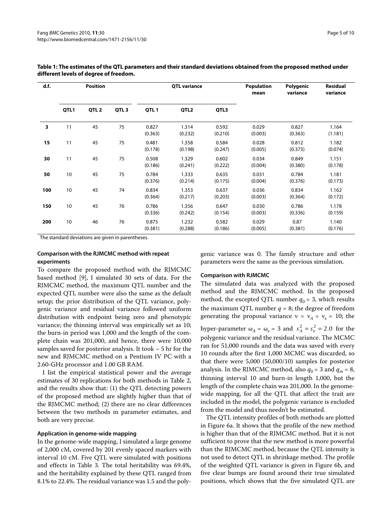| d.f. | Position |                  |                  | <b>QTL variance</b> |                  |                  | <b>Population</b><br>mean | Polygenic<br>variance | <b>Residual</b><br>variance |
|------|----------|------------------|------------------|---------------------|------------------|------------------|---------------------------|-----------------------|-----------------------------|
|      | QTL1     | QTL <sub>2</sub> | QTL <sub>3</sub> | QTL <sub>1</sub>    | QTL <sub>2</sub> | QTL3             |                           |                       |                             |
| 3    | 11       | 45               | 75               | 0.827<br>(0.363)    | 1.314<br>(0.232) | 0.592<br>(0.210) | 0.029<br>(0.003)          | 0.827<br>(0.363)      | 1.164<br>(1.181)            |
| 15   | 11       | 45               | 75               | 0.481<br>(0.178)    | 1.358<br>(0.198) | 0.584<br>(0.247) | 0.028<br>(0.005)          | 0.812<br>(0.373)      | 1.182<br>(0.074)            |
| 30   | 11       | 45               | 75               | 0.508<br>(0.186)    | 1.329<br>(0.241) | 0.602<br>(0.222) | 0.034<br>(0.004)          | 0.849<br>(0.380)      | 1.151<br>(0.178)            |
| 50   | 10       | 45               | 75               | 0.784<br>(0.376)    | 1.333<br>(0.214) | 0.635<br>(0.175) | 0.031<br>(0.004)          | 0.784<br>(0.376)      | 1.181<br>(0.173)            |
| 100  | 10       | 45               | 74               | 0.834<br>(0.364)    | 1.353<br>(0.217) | 0.637<br>(0.203) | 0.036<br>(0.003)          | 0.834<br>(0.364)      | 1.162<br>(0.172)            |
| 150  | 10       | 45               | 76               | 0.786<br>(0.336)    | 1.356<br>(0.242) | 0.647<br>(0.154) | 0.030<br>(0.003)          | 0.786<br>(0.336)      | 1.178<br>(0.159)            |
| 200  | 10       | 46               | 76               | 0.875<br>(0.381)    | 1.232<br>(0.288) | 0.582<br>(0.186) | 0.029<br>(0.005)          | 0.87<br>(0.381)       | 1.140<br>(0.176)            |

| Table 1: The estimates of the QTL parameters and their standard deviations obtained from the proposed method under |
|--------------------------------------------------------------------------------------------------------------------|
| different levels of degree of freedom.                                                                             |

The standard deviations are given in parentheses.

#### **Comparison with the RJMCMC method with repeat experiments**

To compare the proposed method with the RJMCMC based method [[9](#page-8-6)], I simulated 30 sets of data. For the RJMCMC method, the maximum QTL number and the expected QTL number were also the same as the default setup; the prior distribution of the QTL variance, polygenic variance and residual variance followed uniform distribution with endpoint being zero and phenotypic variance; the thinning interval was empirically set as 10; the burn-in period was 1,000 and the length of the complete chain was 201,000, and hence, there were 10,000 samples saved for posterior analysis. It took  $\sim$  5 hr for the new and RJMCMC method on a Pentium IV PC with a 2.60-GHz processor and 1.00 GB RAM.

I list the empirical statistical power and the average estimates of 30 replications for both methods in Table [2](#page-6-0), and the results show that: (1) the QTL detecting powers of the proposed method are slightly higher than that of the RJMCMC method; (2) there are no clear differences between the two methods in parameter estimates, and both are very precise.

#### **Application in genome-wide mapping**

In the genome-wide mapping, I simulated a large genome of 2,000 cM, covered by 201 evenly spaced markers with interval 10 cM. Five QTL were simulated with positions and effects in Table 3. The total heritability was 69.4%, and the heritability explained by these QTL ranged from 8.1% to 22.4%. The residual variance was 1.5 and the polygenic variance was 0. The family structure and other parameters were the same as the previous simulation.

#### **Comparison with RJMCMC**

The simulated data was analyzed with the proposed method and the RJMCMC method. In the proposed method, the excepted QTL number  $q_0 = 3$ , which results the maximum QTL number  $q = 8$ ; the degree of freedom generating the proposal variance  $v = v_A = v_e = 10$ ; the hyper-parameter  $\omega_A = \omega_e = 3$  and  $s_A^2 = s_e^2 = 2.0$  for the polygenic variance and the residual variance. The MCMC ran for 51,000 rounds and the data was saved with every 10 rounds after the first 1,000 MCMC was discarded, so that there were 5,000 (50,000/10) samples for posterior analysis. In the RJMCMC method, also  $q_0 = 3$  and  $q_m = 8$ , thinning interval 10 and burn-in length 1,000, but the length of the complete chain was 201,000. In the genomewide mapping, for all the QTL that affect the trait are included in the model, the polygenic variance is excluded from the model and thus needn't be estimated.

The QTL intensity profiles of both methods are plotted in Figure [6](#page-7-0)a. It shows that the profile of the new method is higher than that of the RJMCMC method. But it is not sufficient to prove that the new method is more powerful than the RJMCMC method, because the QTL intensity is not used to detect QTL in shrinkage method. The profile of the weighted QTL variance is given in Figure [6b](#page-7-0), and five clear bumps are found around their true simulated positions, which shows that the five simulated QTL are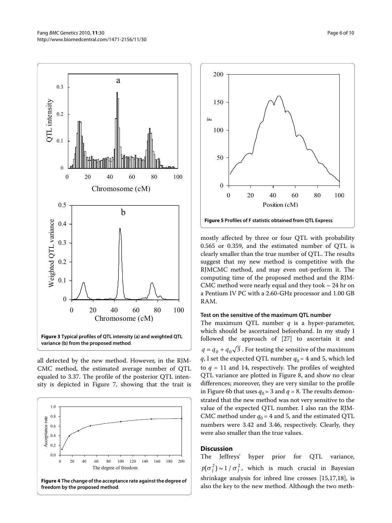<span id="page-5-0"></span>



**variance (b) from the proposed method**.

all detected by the new method. However, in the RJM-CMC method, the estimated average number of QTL equaled to 3.37. The profile of the posterior QTL intensity is depicted in Figure [7](#page-7-1), showing that the trait is

<span id="page-5-1"></span>

<span id="page-5-2"></span>

mostly affected by three or four QTL with probability 0.565 or 0.359, and the estimated number of QTL is clearly smaller than the true number of QTL. The results suggest that my new method is competitive with the RJMCMC method, and may even out-perform it. The computing time of the proposed method and the RJM-CMC method were nearly equal and they took  $\sim$  24 hr on a Pentium IV PC with a 2.60-GHz processor and 1.00 GB RAM.

## **Test on the sensitive of the maximum QTL number**

The maximum QTL number *q* is a hyper-parameter, which should be ascertained beforehand. In my study I followed the approach of [[27\]](#page-9-1) to ascertain it and  $q = q_0 + q_0 \sqrt{3}$ . For testing the sensitive of the maximum *q*, I set the expected QTL number  $q_0 = 4$  and 5, which led to  $q = 11$  and 14, respectively. The profiles of weighted QTL variance are plotted in Figure [8,](#page-7-2) and show no clear differences; moreover, they are very similar to the profile in Figure [6b](#page-7-0) that uses  $q_0 = 3$  and  $q = 8$ . The results demonstrated that the new method was not very sensitive to the value of the expected QTL number. I also ran the RJM-CMC method under  $q_0$  = 4 and 5, and the estimated QTL numbers were 3.42 and 3.46, respectively. Clearly, they were also smaller than the true values.

# **Discussion**

The Jeffreys' hyper prior for QTL variance,  $p(\sigma_j^2) \sim 1 / \sigma_j^2$ , which is much crucial in Bayesian shrinkage analysis for inbred line crosses [\[15](#page-8-13)[,17](#page-8-14),[18](#page-8-22)], is also the key to the new method. Although the two meth-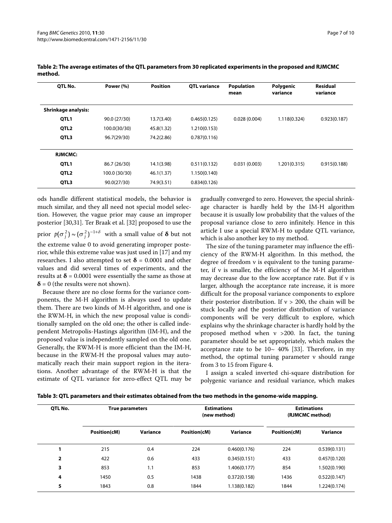| OTL No.                    | Power (%)     | <b>Position</b> | <b>OTL</b> variance | <b>Population</b><br>mean | Polygenic<br>variance | <b>Residual</b><br>variance |
|----------------------------|---------------|-----------------|---------------------|---------------------------|-----------------------|-----------------------------|
| <b>Shrinkage analysis:</b> |               |                 |                     |                           |                       |                             |
| QTL1                       | 90.0 (27/30)  | 13.7(3.40)      | 0.465(0.125)        | 0.028(0.004)              | 1.118(0.324)          | 0.923(0.187)                |
| QTL <sub>2</sub>           | 100.0(30/30)  | 45.8(1.32)      | 1.210(0.153)        |                           |                       |                             |
| QTL3                       | 96.7(29/30)   | 74.2(2.86)      | 0.787(0.116)        |                           |                       |                             |
| <b>RJMCMC:</b>             |               |                 |                     |                           |                       |                             |
| QTL1                       | 86.7 (26/30)  | 14.1(3.98)      | 0.511(0.132)        | 0.031(0.003)              | 1.201(0.315)          | 0.915(0.188)                |
| QTL <sub>2</sub>           | 100.0 (30/30) | 46.1(1.37)      | 1.150(0.140)        |                           |                       |                             |
| QTL3                       | 90.0(27/30)   | 74.9(3.51)      | 0.834(0.126)        |                           |                       |                             |

<span id="page-6-0"></span>**Table 2: The average estimates of the QTL parameters from 30 replicated experiments in the proposed and RJMCMC method.**

ods handle different statistical models, the behavior is much similar, and they all need not special model selection. However, the vague prior may cause an improper posterior [\[30](#page-9-4),[31](#page-9-5)]. Ter Braak et al. [\[32](#page-9-6)] proposed to use the prior  $p(\sigma_j^2) \sim (\sigma_j^2)^{-1+\delta}$  with a small value of  $\boldsymbol{\delta}$  but not the extreme value 0 to avoid generating improper posterior, while this extreme value was just used in [\[17](#page-8-14)] and my researches. I also attempted to set  $\delta$  = 0.0001 and other values and did several times of experiments, and the results at  $\delta$  = 0.0001 were essentially the same as those at  $\delta$  = 0 (the results were not shown).

Because there are no close forms for the variance components, the M-H algorithm is always used to update them. There are two kinds of M-H algorithm, and one is the RWM-H, in which the new proposal value is conditionally sampled on the old one; the other is called independent Metropolis-Hastings algorithm (IM-H), and the proposed value is independently sampled on the old one. Generally, the RWM-H is more efficient than the IM-H, because in the RWM-H the proposal values may automatically reach their main support region in the iterations. Another advantage of the RWM-H is that the estimate of QTL variance for zero-effect QTL may be

gradually converged to zero. However, the special shrinkage character is hardly held by the IM-H algorithm because it is usually low probability that the values of the proposal variance close to zero infinitely. Hence in this article I use a special RWM-H to update QTL variance, which is also another key to my method.

The size of the tuning parameter may influence the efficiency of the RWM-H algorithm. In this method, the degree of freedom ν is equivalent to the tuning parameter, if ν is smaller, the efficiency of the M-H algorithm may decrease due to the low acceptance rate. But if ν is larger, although the acceptance rate increase, it is more difficult for the proposal variance components to explore their posterior distribution. If  $v > 200$ , the chain will be stuck locally and the posterior distribution of variance components will be very difficult to explore, which explains why the shrinkage character is hardly hold by the proposed method when ν >200. In fact, the tuning parameter should be set appropriately, which makes the acceptance rate to be  $10~ 40\%$  [\[33](#page-9-7)]. Therefore, in my method, the optimal tuning parameter ν should range from 3 to 15 from Figure [4.](#page-5-1)

I assign a scaled inverted chi-square distribution for polygenic variance and residual variance, which makes

| Table 3: QTL parameters and their estimates obtained from the two methods in the genome-wide mapping. |  |  |
|-------------------------------------------------------------------------------------------------------|--|--|
|                                                                                                       |  |  |

| QTL No. | <b>True parameters</b> |          | (new method) | <b>Estimations</b> | <b>Estimations</b><br>(RJMCMC method) |              |
|---------|------------------------|----------|--------------|--------------------|---------------------------------------|--------------|
|         | Position(cM)           | Variance | Position(cM) | Variance           | Position(cM)                          | Variance     |
|         | 215                    | 0.4      | 224          | 0.460(0.176)       | 224                                   | 0.539(0.131) |
| 2       | 422                    | 0.6      | 433          | 0.345(0.151)       | 433                                   | 0.457(0.120) |
| 3       | 853                    | 1.1      | 853          | 1.406(0.177)       | 854                                   | 1.502(0.190) |
| 4       | 1450                   | 0.5      | 1438         | 0.372(0.158)       | 1436                                  | 0.522(0.147) |
| 5       | 1843                   | 0.8      | 1844         | 1.138(0.182)       | 1844                                  | 1.224(0.174) |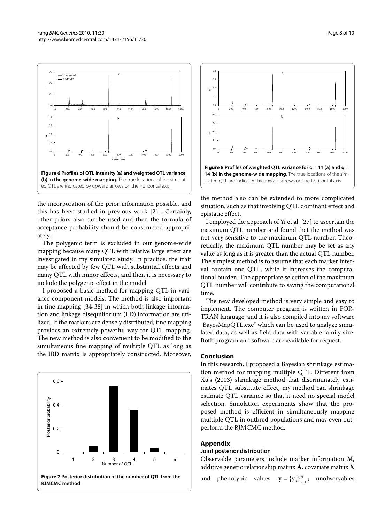<span id="page-7-0"></span>

the incorporation of the prior information possible, and this has been studied in previous work [\[21](#page-8-17)]. Certainly, other priors also can be used and then the formula of acceptance probability should be constructed appropriately.

The polygenic term is excluded in our genome-wide mapping because many QTL with relative large effect are investigated in my simulated study. In practice, the trait may be affected by few QTL with substantial effects and many QTL with minor effects, and then it is necessary to include the polygenic effect in the model.

I proposed a basic method for mapping QTL in variance component models. The method is also important in fine mapping [[34-](#page-9-8)[38\]](#page-9-9) in which both linkage information and linkage disequilibrium (LD) information are utilized. If the markers are densely distributed, fine mapping provides an extremely powerful way for QTL mapping. The new method is also convenient to be modified to the simultaneous fine mapping of multiple QTL as long as the IBD matrix is appropriately constructed. Moreover,

<span id="page-7-1"></span>

<span id="page-7-2"></span>

the method also can be extended to more complicated situation, such as that involving QTL dominant effect and epistatic effect.

I employed the approach of Yi et al. [[27\]](#page-9-1) to ascertain the maximum QTL number and found that the method was not very sensitive to the maximum QTL number. Theoretically, the maximum QTL number may be set as any value as long as it is greater than the actual QTL number. The simplest method is to assume that each marker interval contain one QTL, while it increases the computational burden. The appropriate selection of the maximum QTL number will contribute to saving the computational time.

The new developed method is very simple and easy to implement. The computer program is written in FOR-TRAN language, and it is also compiled into my software "BayesMapQTL.exe" which can be used to analyze simulated data, as well as field data with variable family size. Both program and software are available for request.

# **Conclusion**

In this research, I proposed a Bayesian shrinkage estimation method for mapping multiple QTL. Different from Xu's (2003) shrinkage method that discriminately estimates QTL substitute effect, my method can shrinkage estimate QTL variance so that it need no special model selection. Simulation experiments show that the proposed method is efficient in simultaneously mapping multiple QTL in outbred populations and may even outperform the RJMCMC method.

#### **Appendix**

#### **Joint posterior distribution**

Observable parameters include marker information **M**, additive genetic relationship matrix **A**, covariate matrix **X**

and phenotypic values  $y = {y_i}_{i=1}^n$ ; unobservables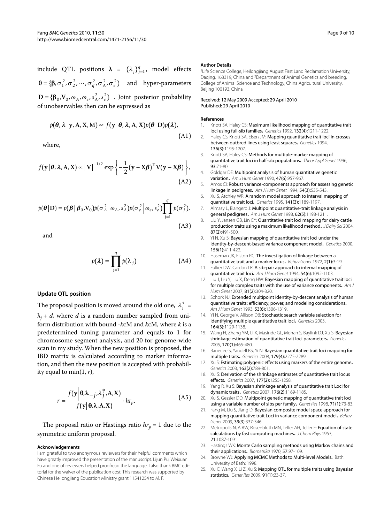include QTL positions  $\lambda = {\lambda_j}\}_{j=1}^q$ , model effects  $\mathbf{\theta} = {\mathbf{\beta}, \sigma_1^2, \sigma_2^2, \cdots, \sigma_q^2, \sigma_A^2, \sigma_e^2}$  and hyper-parameters  $D = {\beta_0, V_0, \omega_A, \omega_e, s_A^2, s_e^2}$ . Joint posterior probability of unobservables then can be expressed as

$$
p(\boldsymbol{\theta}, \boldsymbol{\lambda} \,|\, \mathbf{y}, \mathbf{A}, \mathbf{X}, \mathbf{M}) \sim f(\mathbf{y} \,|\, \boldsymbol{\theta}, \boldsymbol{\lambda}, \mathbf{A}, \mathbf{X}) p(\boldsymbol{\theta} \,|\, \mathbf{D}) p(\boldsymbol{\lambda}).
$$
\n(A1)

where,

$$
f(\mathbf{y}|\boldsymbol{\theta}, \boldsymbol{\lambda}, \mathbf{A}, \mathbf{X}) \propto |\mathbf{V}|^{-1/2} \exp\left\{-\frac{1}{2}(\mathbf{y} - \mathbf{X}\boldsymbol{\beta})^{\mathrm{T}}\mathbf{V}(\mathbf{y} - \mathbf{X}\boldsymbol{\beta})\right\},\tag{A2}
$$

$$
p(\theta | \mathbf{D}) = p(\beta | \beta_0, V_0) p(\sigma_A^2 | \omega_A, s_A^2) p(\sigma_e^2 | \omega_e, s_e^2) \prod_{j=1}^q p(\sigma_j^2),
$$
\n(A3)

and

$$
p(\lambda) = \prod_{j=1}^{q} p(\lambda_j)
$$
 (A4)

#### **Update QTL position**

The proposal position is moved around the old one,  $\lambda_j^* =$  $\lambda_i$  + *d*, where *d* is a random number sampled from uniform distribution with bound -*k*cM and *k*cM, where *k* is a predetermined tuning parameter and equals to 1 for chromosome segment analysis, and 20 for genome-wide scan in my study. When the new position is proposed, the IBD matrix is calculated according to marker information, and then the new position is accepted with probability equal to min(1, *r*),

$$
r = \frac{f(\mathbf{y}|\mathbf{\theta}, \lambda_{-j}, \lambda_{j}^{*}, \mathbf{A}, \mathbf{X})}{f(\mathbf{y}|\mathbf{\theta}, \lambda, \mathbf{A}, \mathbf{X})} \cdot hr_{p}.
$$
 (A5)

The proposal ratio or Hastings ratio  $hr_p = 1$  due to the symmetric uniform proposal.

#### **Acknowledgements**

I am grateful to two anonymous reviewers for their helpful comments which have greatly improved the presentation of the manuscript. Lijun Pu, Weixuan Fu and one of reviewers helped proofread the language. I also thank BMC editorial for the waiver of the publication cost. This research was supported by Chinese Heilongjiang Education Ministry grant 11541254 to M. F.

#### **Author Details**

1Life Science College, Heilongjiang August First Land Reclamation University, Daqing, 163319, China and 2Department of Animal Genetics and breeding, College of Animal Science and Technology, China Agricultural University, Beijing 100193, China

#### Received: 12 May 2009 Accepted: 29 April 2010 Published: 29 April 2010

#### **References**

- <span id="page-8-0"></span>1. Knott SA, Haley CS: Maximum likelihood mapping of quantitative trait loci using full-sib families**.** Genetics 1992, 132(4):1211-1222.
- <span id="page-8-4"></span>2. Haley CS, Knott SA, Elsen JM: Mapping quantitative trait loci in crosses between outbred lines using least squares**.** Genetics 1994, 136(3):1195-1207.
- <span id="page-8-1"></span>3. Knott SA, Haley CS: Methods for multiple-marker mapping of quantitative trait loci in half-sib populations**.** Theor Appl Genet 1996, 93:71-80.
- <span id="page-8-2"></span>4. Goldgar DE: Multipoint analysis of human quantitative genetic variation**.** Am J Hum Genet 1990, 47(6):957-967.
- 5. Amos CI: Robust variance-components approach for assessing genetic linkage in pedigrees**.** Am J Hum Genet 1994, 54(3):535-543.
- 6. Xu S, Atchley WR: A random model approach to interval mapping of quantitative trait loci**.** Genetics 1995, 141(3):1189-1197.
- <span id="page-8-3"></span>7. Almasy L, Blangero J: Multipoint quantitative-trait linkage analysis in general pedigrees**.** Am J Hum Genet 1998, 62(5):1198-1211.
- <span id="page-8-5"></span>8. Liu Y, Jansen GB, Lin CY: Quantitative trait loci mapping for dairy cattle production traits using a maximum likelihood method**.** J Dairy Sci 2004, 87(2):491-500.
- <span id="page-8-6"></span>9. Yi N, Xu S: Bayesian mapping of quantitative trait loci under the identity-by-descent-based variance component model**.** Genetics 2000, 156(1):411-422.
- <span id="page-8-8"></span>10. Haseman JK, Elston RC: The investigation of linkage between a quantitative trait and a marker locus**.** Behav Genet 1972, 2(1):3-19.
- <span id="page-8-9"></span>11. Fulker DW, Cardon LR: A sib-pair approach to interval mapping of quantitative trait loci**.** Am J Hum Genet 1994, 54(6):1092-1103.
- <span id="page-8-7"></span>12. Liu J, Liu Y, Liu X, Deng HW: Bayesian mapping of quantitative trait loci for multiple complex traits with the use of variance components**.** Am J Hum Genet 2007, 81(2):304-320.
- <span id="page-8-10"></span>13. Schork NJ: Extended multipoint identity-by-descent analysis of human quantitative traits: efficiency, power, and modeling considerations**.** Am J Hum Genet 1993, 53(6):1306-1319.
- <span id="page-8-11"></span>14. Yi N, George V, Allison DB: Stochastic search variable selection for identifying multiple quantitative trait loci**.** Genetics 2003, 164(3):1129-1138.
- <span id="page-8-13"></span>15. Wang H, Zhang YM, Li X, Masinde GL, Mohan S, Baylink DJ, Xu S: Bayesian shrinkage estimation of quantitative trait loci parameters**.** Genetics 2005, 170(1):465-480.
- <span id="page-8-12"></span>16. Banerjee S, Yandell BS, Yi N: Bayesian quantitative trait loci mapping for multiple traits**.** Genetics 2008, 179(4):2275-2289.
- <span id="page-8-14"></span>17. Xu S: Estimating polygenic effects using markers of the entire genome**.** Genetics 2003, 163(2):789-801.
- <span id="page-8-22"></span>18. Xu S: Derivation of the shrinkage estimates of quantitative trait locus effects**[.](http://www.ncbi.nlm.nih.gov/entrez/query.fcgi?cmd=Retrieve&db=PubMed&dopt=Abstract&list_uids=17720913)** Genetics 2007, 177(2):1255-1258.
- <span id="page-8-15"></span>19. Yang R, Xu S: Bayesian shrinkage analysis of quantitative trait Loci for dynamic traits**.** Genetics 2007, 176(2):1169-1185.
- <span id="page-8-16"></span>20. Xu S, Gessler DD: Multipoint genetic mapping of quantitative trait loci using a variable number of sibs per family**.** Genet Res 1998, 71(1):73-83.
- <span id="page-8-17"></span>21. Fang M, Liu S, Jiang D: Bayesian composite model space approach for mapping quantitative trait Loci in variance component model**.** Behav Genet 2009, 39(3):337-346.
- <span id="page-8-18"></span>22. Metropolis N, A RW, Rosenbluth MN, Teller AH, Teller E: Equation of state calculations by fast computing machines**.** J Chem Phys 1953, 21:1087-1091.
- <span id="page-8-19"></span>23. Hastings WK: Monte Carlo sampling methods using Markov chains and their applications**.** Biometrika 1970, 57:97-109.
- <span id="page-8-20"></span>24. Browne WJ: Applying MCMC Methods to Multi-level Models**.** Bath: University of Bath; 1998.
- <span id="page-8-21"></span>25. Xu C, Wang X, Li Z, Xu S: Mapping QTL for multiple traits using Bayesian statistic[s](http://www.ncbi.nlm.nih.gov/entrez/query.fcgi?cmd=Retrieve&db=PubMed&dopt=Abstract&list_uids=19220929)**.** Genet Res 2009, 91(1):23-37.